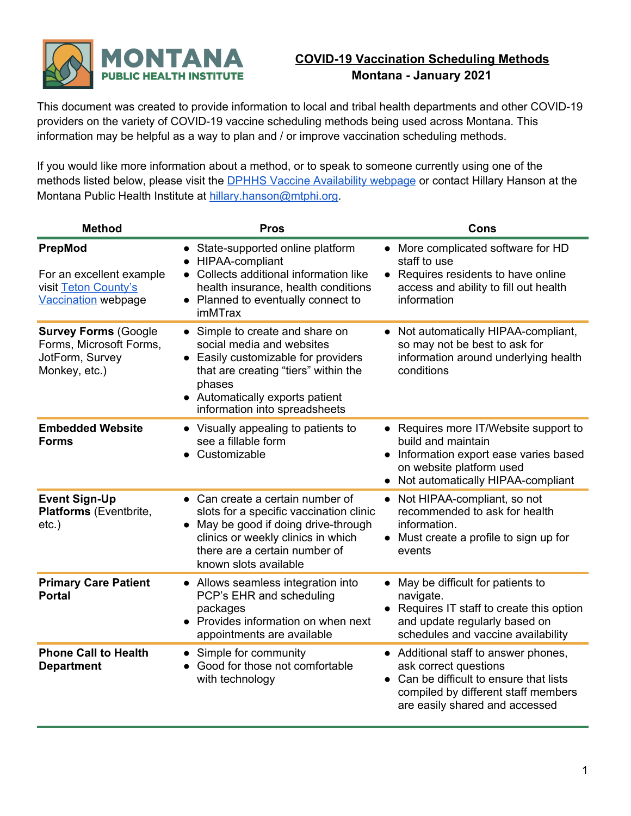

## **COVID-19 Vaccination Scheduling Methods Montana - January 2021**

This document was created to provide information to local and tribal health departments and other COVID-19 providers on the variety of COVID-19 vaccine scheduling methods being used across Montana. This information may be helpful as a way to plan and / or improve vaccination scheduling methods.

If you would like more information about a method, or to speak to someone currently using one of the methods listed below, please visit the **DPHHS Vaccine [Availability](https://dphhs.mt.gov/publichealth/cdepi/diseases/coronavirusmt/covid19vaccineavailability) webpage** or contact Hillary Hanson at the Montana Public Health Institute at [hillary.hanson@mtphi.org](mailto:hillary.hanson@mtphi.org).

| <b>Method</b>                                                                              | <b>Pros</b>                                                                                                                                                                                                             | Cons                                                                                                                                                                                |
|--------------------------------------------------------------------------------------------|-------------------------------------------------------------------------------------------------------------------------------------------------------------------------------------------------------------------------|-------------------------------------------------------------------------------------------------------------------------------------------------------------------------------------|
| PrepMod<br>For an excellent example<br>visit Teton County's<br><b>Vaccination</b> webpage  | State-supported online platform<br>HIPAA-compliant<br>Collects additional information like<br>health insurance, health conditions<br>• Planned to eventually connect to<br>imMTrax                                      | More complicated software for HD<br>$\bullet$<br>staff to use<br>Requires residents to have online<br>$\bullet$<br>access and ability to fill out health<br>information             |
| <b>Survey Forms (Google</b><br>Forms, Microsoft Forms,<br>JotForm, Survey<br>Monkey, etc.) | • Simple to create and share on<br>social media and websites<br>Easily customizable for providers<br>that are creating "tiers" within the<br>phases<br>• Automatically exports patient<br>information into spreadsheets | Not automatically HIPAA-compliant,<br>$\bullet$<br>so may not be best to ask for<br>information around underlying health<br>conditions                                              |
| <b>Embedded Website</b><br><b>Forms</b>                                                    | • Visually appealing to patients to<br>see a fillable form<br>Customizable                                                                                                                                              | • Requires more IT/Website support to<br>build and maintain<br>Information export ease varies based<br>$\bullet$<br>on website platform used<br>• Not automatically HIPAA-compliant |
| <b>Event Sign-Up</b><br>Platforms (Eventbrite,<br>$etc.$ )                                 | • Can create a certain number of<br>slots for a specific vaccination clinic<br>May be good if doing drive-through<br>clinics or weekly clinics in which<br>there are a certain number of<br>known slots available       | Not HIPAA-compliant, so not<br>recommended to ask for health<br>information.<br>• Must create a profile to sign up for<br>events                                                    |
| <b>Primary Care Patient</b><br><b>Portal</b>                                               | • Allows seamless integration into<br>PCP's EHR and scheduling<br>packages<br>Provides information on when next<br>appointments are available                                                                           | May be difficult for patients to<br>$\bullet$<br>navigate.<br>• Requires IT staff to create this option<br>and update regularly based on<br>schedules and vaccine availability      |
| <b>Phone Call to Health</b><br><b>Department</b>                                           | • Simple for community<br>Good for those not comfortable<br>with technology                                                                                                                                             | Additional staff to answer phones,<br>ask correct questions<br>Can be difficult to ensure that lists<br>compiled by different staff members<br>are easily shared and accessed       |